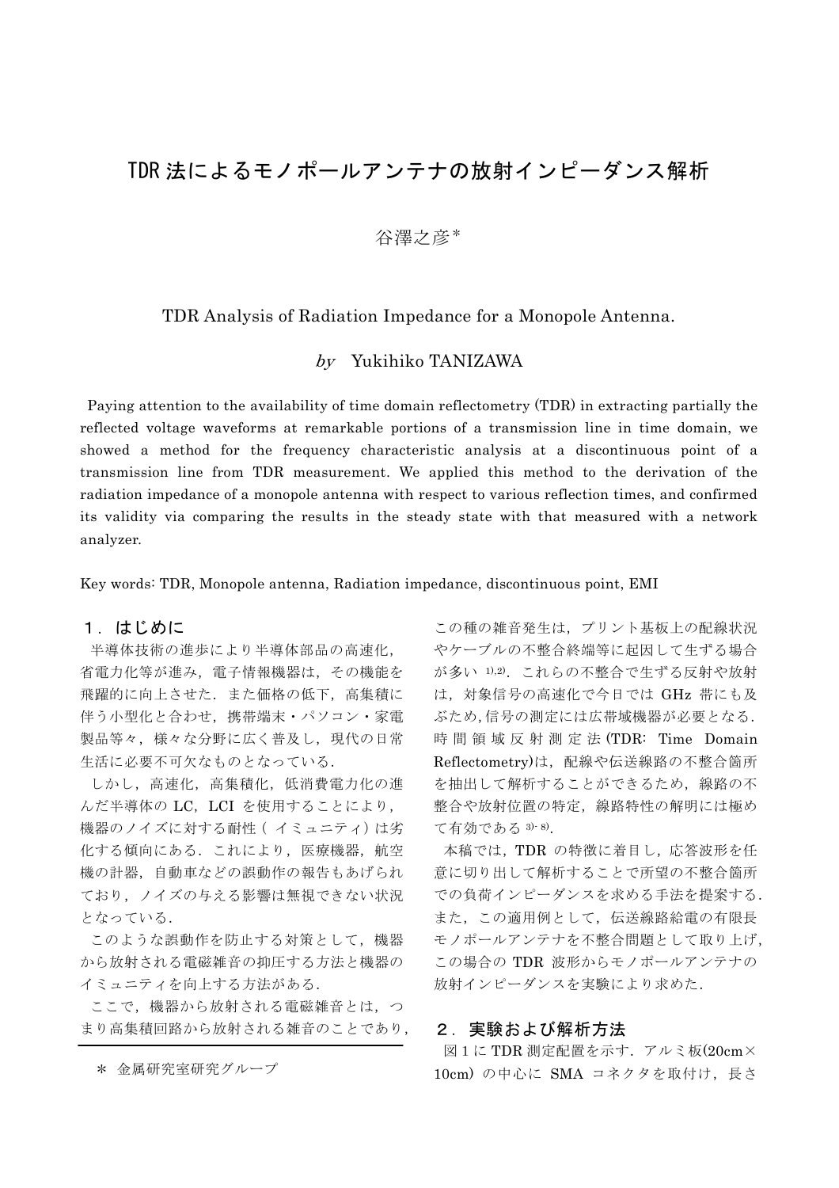# TDR 法によるモノポールアンテナの放射インピーダンス解析

# 谷澤之彦\*

## TDR Analysis of Radiation Impedance for a Monopole Antenna.

### by Yukihiko TANIZAWA

 Paying attention to the availability of time domain reflectometry (TDR) in extracting partially the reflected voltage waveforms at remarkable portions of a transmission line in time domain, we showed a method for the frequency characteristic analysis at a discontinuous point of a transmission line from TDR measurement. We applied this method to the derivation of the radiation impedance of a monopole antenna with respect to various reflection times, and confirmed its validity via comparing the results in the steady state with that measured with a network analyzer.

Key words: TDR, Monopole antenna, Radiation impedance, discontinuous point, EMI

#### 1.はじめに

半導体技術の進歩により半導体部品の高速化, 省電力化等が進み,電子情報機器は,その機能を 飛躍的に向上させた.また価格の低下,高集積に 伴う小型化と合わせ,携帯端末・パソコン・家電 製品等々,様々な分野に広く普及し,現代の日常 生活に必要不可欠なものとなっている.

しかし,高速化,高集積化,低消費電力化の進 んだ半導体の LC, LCI を使用することにより, 機器のノイズに対する耐性(イミュニティ)は劣 化する傾向にある. これにより, 医療機器, 航空 機の計器,自動車などの誤動作の報告もあげられ ており,ノイズの与える影響は無視できない状況 となっている.

このような誤動作を防止する対策として,機器 から放射される電磁雑音の抑圧する方法と機器の イミュニティを向上する方法がある.

ここで,機器から放射される電磁雑音とは,つ まり高集積回路から放射される雑音のことであり,

この種の雑音発生は,プリント基板上の配線状況 やケーブルの不整合終端等に起因して生ずる場合 が多い 1),2). これらの不整合で生ずる反射や放射 は,対象信号の高速化で今日では GHz 帯にも及 ぶため,信号の測定には広帯域機器が必要となる. 時間領域反射測定法 (TDR: Time Domain Reflectometry)は,配線や伝送線路の不整合箇所 を抽出して解析することができるため、線路の不 整合や放射位置の特定,線路特性の解明には極め て有効である 3)- 8).

本稿では,TDR の特徴に着目し,応答波形を任 意に切り出して解析することで所望の不整合箇所 での負荷インピーダンスを求める手法を提案する. また,この適用例として,伝送線路給電の有限長 モノポールアンテナを不整合問題として取り上げ, この場合の TDR 波形からモノポールアンテナの 放射インピーダンスを実験により求めた.

#### 2.実験および解析方法

図1に TDR 測定配置を示す.アルミ板(20cm× \* 金属研究室研究グループ 10cm) の中心に SMA コネクタを取付け,長さ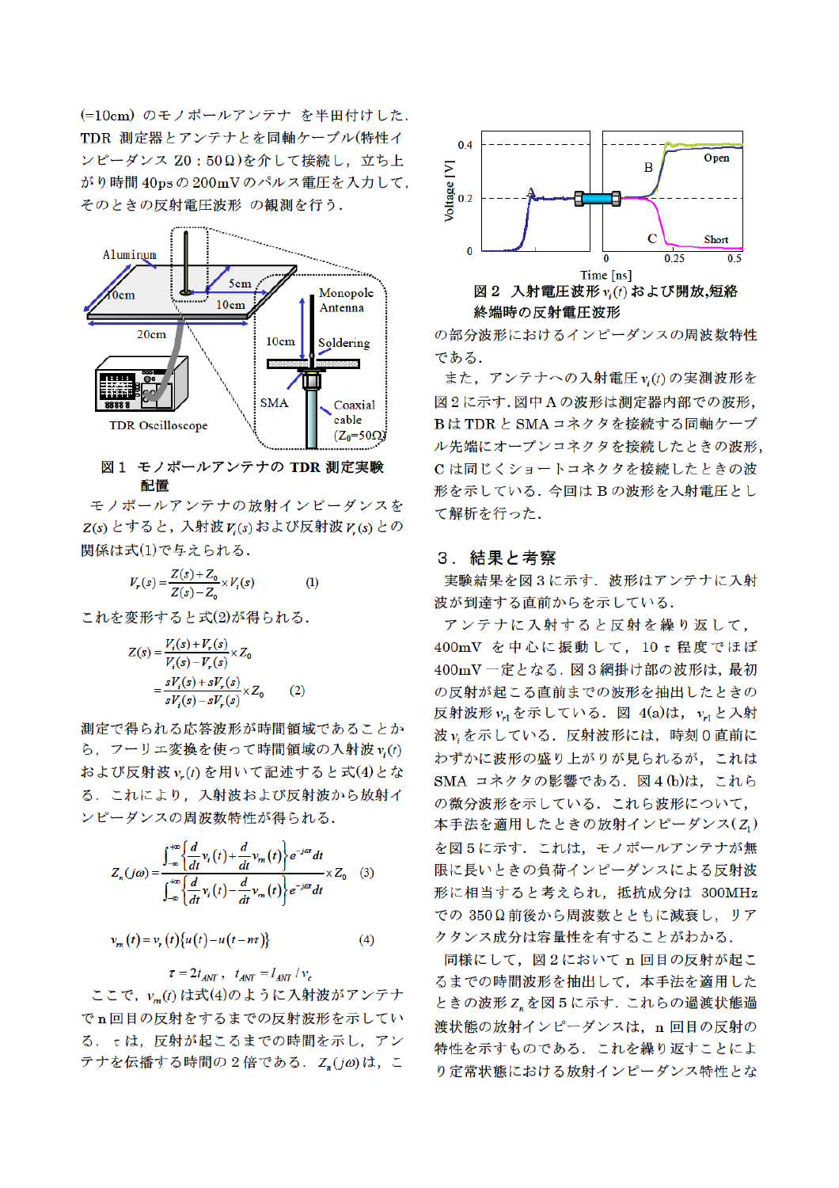(=10cm) のモノポールアンテナ を半田付けした. TDR 測定器とアンテナとを同軸ケーブル(特性イ ンピーダンス Z0:50Ω)を介して接続し、立ち上 がり時間 40psの200mVのパルス電圧を入力して、 そのときの反射電圧波形 の観測を行う.



#### 図1 モノポールアンテナの TDR 測定実験 配置

モノポールアンテナの放射インピーダンスを  $Z(s)$ とすると, 入射波 $V(s)$ および反射波 $V(s)$ との 関係は式(1)で与えられる.

$$
V_r(s) = \frac{Z(s) + Z_0}{Z(s) - Z_0} \times V_i(s)
$$
 (1)

これを変形すると式(2)が得られる.

$$
Z(s) = \frac{V_i(s) + V_r(s)}{V_i(s) - V_r(s)} \times Z_0
$$
  
= 
$$
\frac{sV_i(s) + sV_r(s)}{sV_i(s) - sV_r(s)} \times Z_0
$$
 (2)

測定で得られる応答波形が時間領域であることか ら、フーリエ変換を使って時間領域の入射波 v.(t) および反射波 v.(t) を用いて記述すると式(4)とな る. これにより、入射波および反射波から放射イ ンピーダンスの周波数特性が得られる.

$$
Z_n(j\omega) = \frac{\int_{-\infty}^{+\infty} \left\{ \frac{d}{dt} v_i(t) + \frac{d}{dt} v_m(t) \right\} e^{-j\omega t} dt}{\int_{-\infty}^{+\infty} \left\{ \frac{d}{dt} v_i(t) - \frac{d}{dt} v_m(t) \right\} e^{-j\omega t} dt} \times Z_0 \quad (3)
$$

$$
v_m(t) = v_r(t) \{ u(t) - u(t - n\tau) \}
$$
 (4)

 $\tau = 2t_{ANT}$ ,  $t_{ANT} = l_{ANT}/v_c$ ここで, vm(t)は式(4)のように入射波がアンテナ でn回目の反射をするまでの反射波形を示してい る. τは、反射が起こるまでの時間を示し、アン テナを伝播する時間の2倍である. Z<sub>n</sub>(ja)は、こ



の部分波形におけるインピーダンスの周波数特性 である.

また、アンテナへの入射電圧 $v_i(t)$ の実測波形を 図2に示す.図中Aの波形は測定器内部での波形, BはTDRとSMAコネクタを接続する同軸ケーブ ル先端にオープンコネクタを接続したときの波形, C は同じくショートコネクタを接続したときの波 形を示している. 今回はBの波形を入射電圧とし て解析を行った.

#### 3. 結果と考察

実験結果を図3に示す. 波形はアンテナに入射 波が到達する直前からを示している.

アンテナに入射すると反射を繰り返して, 400mV を中心に振動して、10 t程度でほぼ 400mV一定となる. 図3網掛け部の波形は, 最初 の反射が起こる直前までの波形を抽出したときの 反射波形  $v_{r1}$ を示している. 図 4(a)は,  $v_{r1}$ と入射 波viを示している。反射波形には、時刻0直前に わずかに波形の盛り上がりが見られるが、これは SMA コネクタの影響である. 図4(b)は、これら の微分波形を示している. これら波形について, 本手法を適用したときの放射インピーダンス(Z1) を図5に示す。これは、モノポールアンテナが無 限に長いときの負荷インピーダンスによる反射波 形に相当すると考えられ、抵抗成分は 300MHz での 350Ω前後から周波数とともに減衰し、リア クタンス成分は容量性を有することがわかる.

同様にして、図2において n回目の反射が起こ るまでの時間波形を抽出して、本手法を適用した ときの波形 Z, を図5に示す. これらの過渡状態過 渡状態の放射インピーダンスは、n 回目の反射の 特性を示すものである。これを繰り返すことによ り定常状態における放射インピーダンス特性とな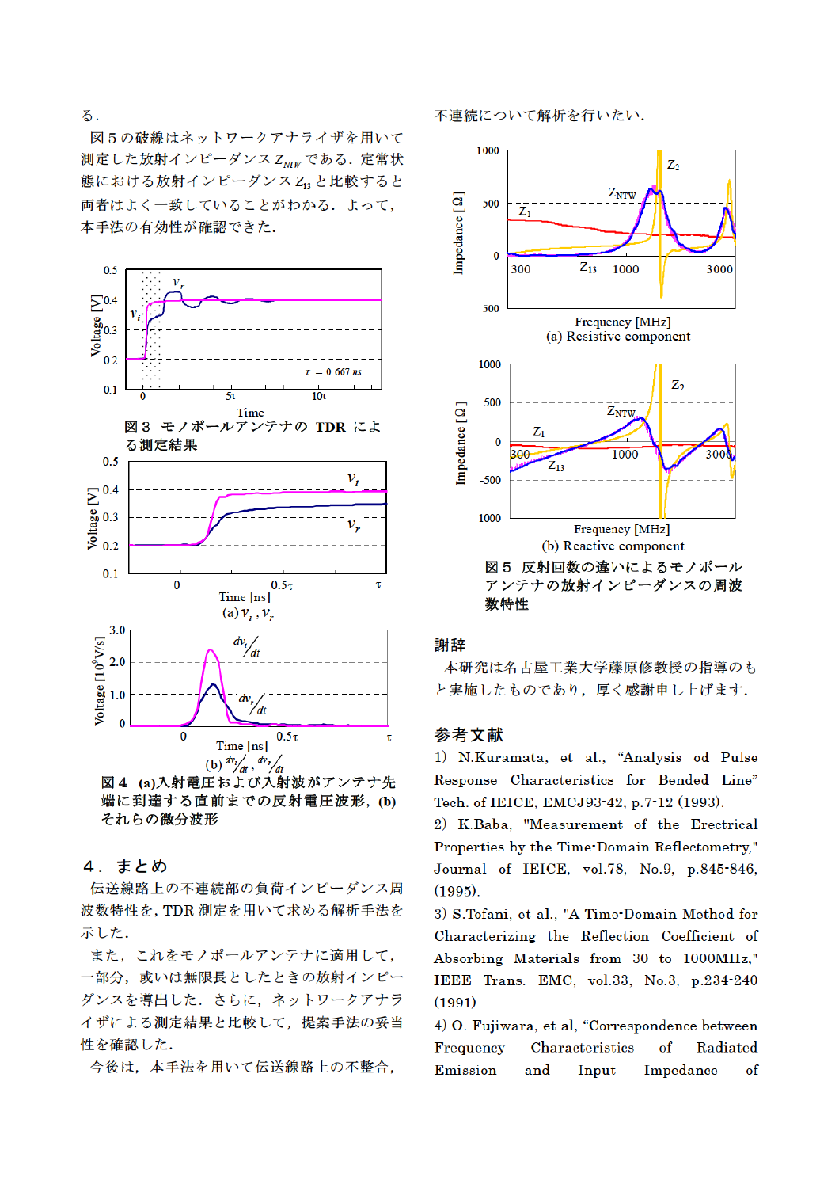る.

図5の破線はネットワークアナライザを用いて 測定した放射インピーダンス ZNTW である. 定常状 態における放射インピーダンス Z12 と比較すると 両者はよく一致していることがわかる. よって, 本手法の有効性が確認できた.



端に到達する直前までの反射電圧波形, (b) それらの微分波形

## 4. まとめ

伝送線路上の不連続部の負荷インピーダンス周 波数特性を, TDR 測定を用いて求める解析手法を 示した.

また、これをモノポールアンテナに適用して. 一部分、或いは無限長としたときの放射インピー ダンスを導出した。さらに、ネットワークアナラ イザによる測定結果と比較して、提案手法の妥当 性を確認した.

今後は、本手法を用いて伝送線路上の不整合,

不連続について解析を行いたい.



## 謝辞

本研究は名古屋工業大学藤原修教授の指導のも と実施したものであり、厚く感謝申し上げます.

## 参考文献

1) N.Kuramata, et al., "Analysis od Pulse Response Characteristics for Bended Line" Tech. of IEICE, EMCJ93-42, p.7-12 (1993).

2) K.Baba, "Measurement of the Erectrical Properties by the Time-Domain Reflectometry," Journal of IEICE, vol.78, No.9, p.845-846,  $(1995)$ .

3) S.Tofani, et al., "A Time-Domain Method for Characterizing the Reflection Coefficient of Absorbing Materials from 30 to 1000MHz." IEEE Trans. EMC, vol.33, No.3, p.234-240  $(1991).$ 

4) O. Fujiwara, et al, "Correspondence between Characteristics Frequency  $\alpha$ Radiated Emission and Input Impedance of